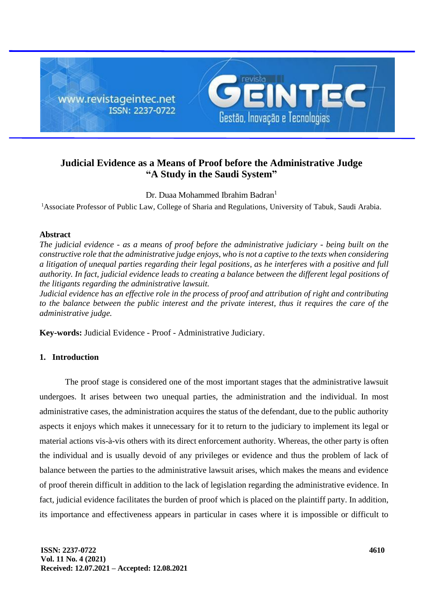

# **Judicial Evidence as a Means of Proof before the Administrative Judge "A Study in the Saudi System"**

Dr. Duaa Mohammed Ibrahim Badran<sup>1</sup>

<sup>1</sup>Associate Professor of Public Law, College of Sharia and Regulations, University of Tabuk, Saudi Arabia.

## **Abstract**

*The judicial evidence - as a means of proof before the administrative judiciary - being built on the constructive role that the administrative judge enjoys, who is not a captive to the texts when considering a litigation of unequal parties regarding their legal positions, as he interferes with a positive and full authority. In fact, judicial evidence leads to creating a balance between the different legal positions of the litigants regarding the administrative lawsuit.*

*Judicial evidence has an effective role in the process of proof and attribution of right and contributing to the balance between the public interest and the private interest, thus it requires the care of the administrative judge.* 

**Key-words:** Judicial Evidence - Proof - Administrative Judiciary.

## **1. Introduction**

The proof stage is considered one of the most important stages that the administrative lawsuit undergoes. It arises between two unequal parties, the administration and the individual. In most administrative cases, the administration acquires the status of the defendant, due to the public authority aspects it enjoys which makes it unnecessary for it to return to the judiciary to implement its legal or material actions vis-à-vis others with its direct enforcement authority. Whereas, the other party is often the individual and is usually devoid of any privileges or evidence and thus the problem of lack of balance between the parties to the administrative lawsuit arises, which makes the means and evidence of proof therein difficult in addition to the lack of legislation regarding the administrative evidence. In fact, judicial evidence facilitates the burden of proof which is placed on the plaintiff party. In addition, its importance and effectiveness appears in particular in cases where it is impossible or difficult to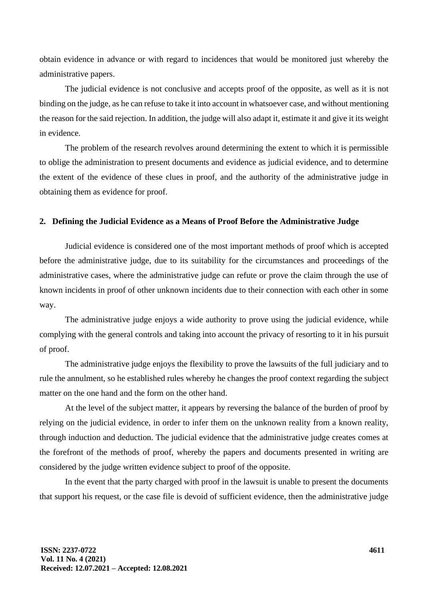obtain evidence in advance or with regard to incidences that would be monitored just whereby the administrative papers.

The judicial evidence is not conclusive and accepts proof of the opposite, as well as it is not binding on the judge, as he can refuse to take it into account in whatsoever case, and without mentioning the reason for the said rejection. In addition, the judge will also adapt it, estimate it and give it its weight in evidence.

The problem of the research revolves around determining the extent to which it is permissible to oblige the administration to present documents and evidence as judicial evidence, and to determine the extent of the evidence of these clues in proof, and the authority of the administrative judge in obtaining them as evidence for proof.

### **2. Defining the Judicial Evidence as a Means of Proof Before the Administrative Judge**

Judicial evidence is considered one of the most important methods of proof which is accepted before the administrative judge, due to its suitability for the circumstances and proceedings of the administrative cases, where the administrative judge can refute or prove the claim through the use of known incidents in proof of other unknown incidents due to their connection with each other in some way.

The administrative judge enjoys a wide authority to prove using the judicial evidence, while complying with the general controls and taking into account the privacy of resorting to it in his pursuit of proof.

The administrative judge enjoys the flexibility to prove the lawsuits of the full judiciary and to rule the annulment, so he established rules whereby he changes the proof context regarding the subject matter on the one hand and the form on the other hand.

At the level of the subject matter, it appears by reversing the balance of the burden of proof by relying on the judicial evidence, in order to infer them on the unknown reality from a known reality, through induction and deduction. The judicial evidence that the administrative judge creates comes at the forefront of the methods of proof, whereby the papers and documents presented in writing are considered by the judge written evidence subject to proof of the opposite.

In the event that the party charged with proof in the lawsuit is unable to present the documents that support his request, or the case file is devoid of sufficient evidence, then the administrative judge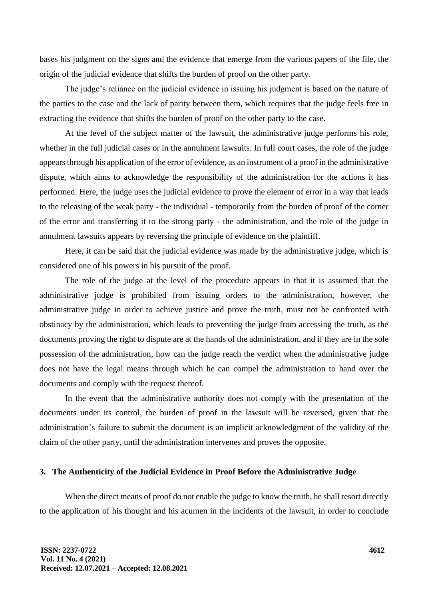bases his judgment on the signs and the evidence that emerge from the various papers of the file, the origin of the judicial evidence that shifts the burden of proof on the other party.

The judge's reliance on the judicial evidence in issuing his judgment is based on the nature of the parties to the case and the lack of parity between them, which requires that the judge feels free in extracting the evidence that shifts the burden of proof on the other party to the case.

At the level of the subject matter of the lawsuit, the administrative judge performs his role, whether in the full judicial cases or in the annulment lawsuits. In full court cases, the role of the judge appears through his application of the error of evidence, as an instrument of a proof in the administrative dispute, which aims to acknowledge the responsibility of the administration for the actions it has performed. Here, the judge uses the judicial evidence to prove the element of error in a way that leads to the releasing of the weak party - the individual - temporarily from the burden of proof of the corner of the error and transferring it to the strong party - the administration, and the role of the judge in annulment lawsuits appears by reversing the principle of evidence on the plaintiff.

Here, it can be said that the judicial evidence was made by the administrative judge, which is considered one of his powers in his pursuit of the proof.

The role of the judge at the level of the procedure appears in that it is assumed that the administrative judge is prohibited from issuing orders to the administration, however, the administrative judge in order to achieve justice and prove the truth, must not be confronted with obstinacy by the administration, which leads to preventing the judge from accessing the truth, as the documents proving the right to dispute are at the hands of the administration, and if they are in the sole possession of the administration, how can the judge reach the verdict when the administrative judge does not have the legal means through which he can compel the administration to hand over the documents and comply with the request thereof.

In the event that the administrative authority does not comply with the presentation of the documents under its control, the burden of proof in the lawsuit will be reversed, given that the administration's failure to submit the document is an implicit acknowledgment of the validity of the claim of the other party, until the administration intervenes and proves the opposite.

## **3. The Authenticity of the Judicial Evidence in Proof Before the Administrative Judge**

When the direct means of proof do not enable the judge to know the truth, he shall resort directly to the application of his thought and his acumen in the incidents of the lawsuit, in order to conclude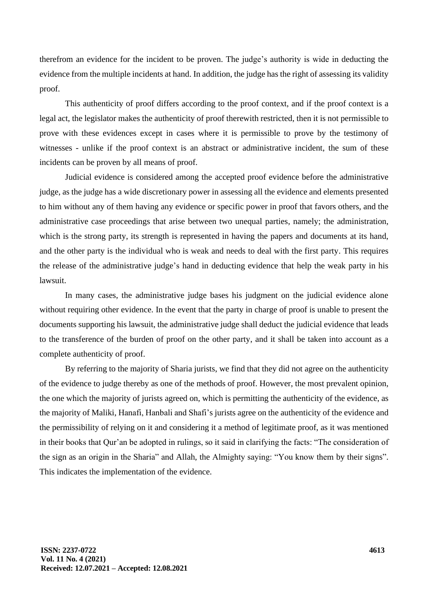therefrom an evidence for the incident to be proven. The judge's authority is wide in deducting the evidence from the multiple incidents at hand. In addition, the judge has the right of assessing its validity proof.

This authenticity of proof differs according to the proof context, and if the proof context is a legal act, the legislator makes the authenticity of proof therewith restricted, then it is not permissible to prove with these evidences except in cases where it is permissible to prove by the testimony of witnesses - unlike if the proof context is an abstract or administrative incident, the sum of these incidents can be proven by all means of proof.

Judicial evidence is considered among the accepted proof evidence before the administrative judge, as the judge has a wide discretionary power in assessing all the evidence and elements presented to him without any of them having any evidence or specific power in proof that favors others, and the administrative case proceedings that arise between two unequal parties, namely; the administration, which is the strong party, its strength is represented in having the papers and documents at its hand, and the other party is the individual who is weak and needs to deal with the first party. This requires the release of the administrative judge's hand in deducting evidence that help the weak party in his lawsuit.

In many cases, the administrative judge bases his judgment on the judicial evidence alone without requiring other evidence. In the event that the party in charge of proof is unable to present the documents supporting his lawsuit, the administrative judge shall deduct the judicial evidence that leads to the transference of the burden of proof on the other party, and it shall be taken into account as a complete authenticity of proof.

By referring to the majority of Sharia jurists, we find that they did not agree on the authenticity of the evidence to judge thereby as one of the methods of proof. However, the most prevalent opinion, the one which the majority of jurists agreed on, which is permitting the authenticity of the evidence, as the majority of Maliki, Hanafi, Hanbali and Shafi's jurists agree on the authenticity of the evidence and the permissibility of relying on it and considering it a method of legitimate proof, as it was mentioned in their books that Qur'an be adopted in rulings, so it said in clarifying the facts: "The consideration of the sign as an origin in the Sharia" and Allah, the Almighty saying: "You know them by their signs". This indicates the implementation of the evidence.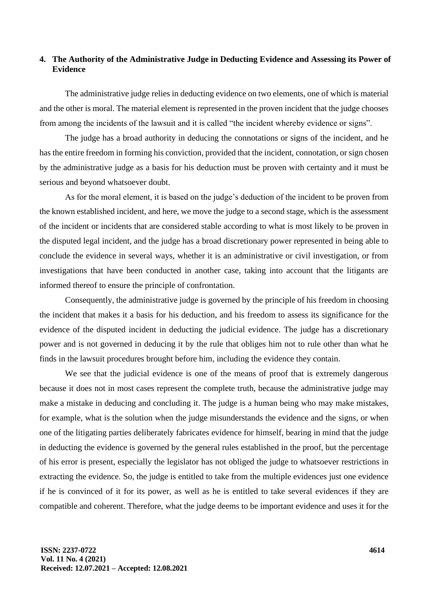## **4. The Authority of the Administrative Judge in Deducting Evidence and Assessing its Power of Evidence**

The administrative judge relies in deducting evidence on two elements, one of which is material and the other is moral. The material element is represented in the proven incident that the judge chooses from among the incidents of the lawsuit and it is called "the incident whereby evidence or signs".

The judge has a broad authority in deducing the connotations or signs of the incident, and he has the entire freedom in forming his conviction, provided that the incident, connotation, or sign chosen by the administrative judge as a basis for his deduction must be proven with certainty and it must be serious and beyond whatsoever doubt.

As for the moral element, it is based on the judge's deduction of the incident to be proven from the known established incident, and here, we move the judge to a second stage, which is the assessment of the incident or incidents that are considered stable according to what is most likely to be proven in the disputed legal incident, and the judge has a broad discretionary power represented in being able to conclude the evidence in several ways, whether it is an administrative or civil investigation, or from investigations that have been conducted in another case, taking into account that the litigants are informed thereof to ensure the principle of confrontation.

Consequently, the administrative judge is governed by the principle of his freedom in choosing the incident that makes it a basis for his deduction, and his freedom to assess its significance for the evidence of the disputed incident in deducting the judicial evidence. The judge has a discretionary power and is not governed in deducing it by the rule that obliges him not to rule other than what he finds in the lawsuit procedures brought before him, including the evidence they contain.

We see that the judicial evidence is one of the means of proof that is extremely dangerous because it does not in most cases represent the complete truth, because the administrative judge may make a mistake in deducing and concluding it. The judge is a human being who may make mistakes, for example, what is the solution when the judge misunderstands the evidence and the signs, or when one of the litigating parties deliberately fabricates evidence for himself, bearing in mind that the judge in deducting the evidence is governed by the general rules established in the proof, but the percentage of his error is present, especially the legislator has not obliged the judge to whatsoever restrictions in extracting the evidence. So, the judge is entitled to take from the multiple evidences just one evidence if he is convinced of it for its power, as well as he is entitled to take several evidences if they are compatible and coherent. Therefore, what the judge deems to be important evidence and uses it for the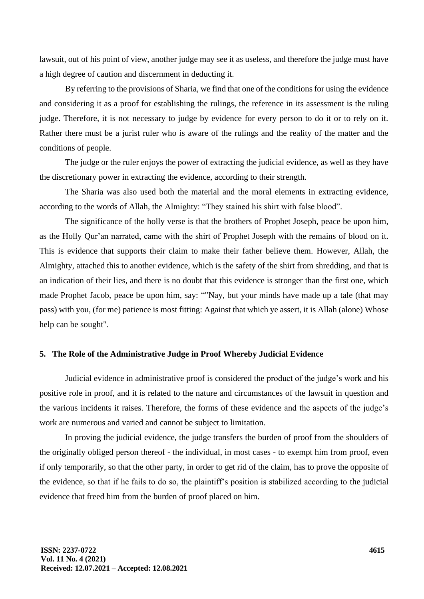lawsuit, out of his point of view, another judge may see it as useless, and therefore the judge must have a high degree of caution and discernment in deducting it.

By referring to the provisions of Sharia, we find that one of the conditions for using the evidence and considering it as a proof for establishing the rulings, the reference in its assessment is the ruling judge. Therefore, it is not necessary to judge by evidence for every person to do it or to rely on it. Rather there must be a jurist ruler who is aware of the rulings and the reality of the matter and the conditions of people.

The judge or the ruler enjoys the power of extracting the judicial evidence, as well as they have the discretionary power in extracting the evidence, according to their strength.

The Sharia was also used both the material and the moral elements in extracting evidence, according to the words of Allah, the Almighty: "They stained his shirt with false blood".

The significance of the holly verse is that the brothers of Prophet Joseph, peace be upon him, as the Holly Qur'an narrated, came with the shirt of Prophet Joseph with the remains of blood on it. This is evidence that supports their claim to make their father believe them. However, Allah, the Almighty, attached this to another evidence, which is the safety of the shirt from shredding, and that is an indication of their lies, and there is no doubt that this evidence is stronger than the first one, which made Prophet Jacob, peace be upon him, say: ""Nay, but your minds have made up a tale (that may pass) with you, (for me) patience is most fitting: Against that which ye assert, it is Allah (alone) Whose help can be sought".

## **5. The Role of the Administrative Judge in Proof Whereby Judicial Evidence**

Judicial evidence in administrative proof is considered the product of the judge's work and his positive role in proof, and it is related to the nature and circumstances of the lawsuit in question and the various incidents it raises. Therefore, the forms of these evidence and the aspects of the judge's work are numerous and varied and cannot be subject to limitation.

In proving the judicial evidence, the judge transfers the burden of proof from the shoulders of the originally obliged person thereof - the individual, in most cases - to exempt him from proof, even if only temporarily, so that the other party, in order to get rid of the claim, has to prove the opposite of the evidence, so that if he fails to do so, the plaintiff's position is stabilized according to the judicial evidence that freed him from the burden of proof placed on him.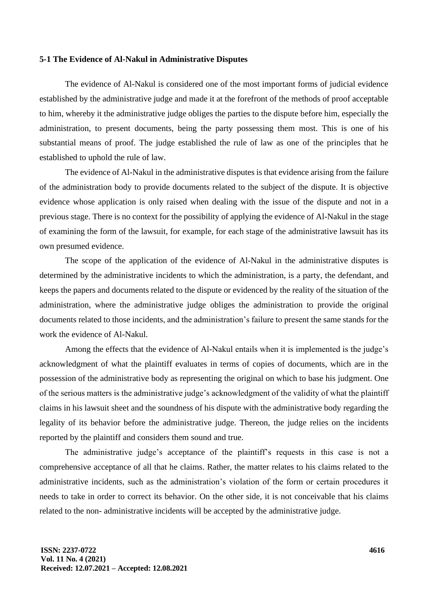#### **5-1 The Evidence of Al-Nakul in Administrative Disputes**

The evidence of Al-Nakul is considered one of the most important forms of judicial evidence established by the administrative judge and made it at the forefront of the methods of proof acceptable to him, whereby it the administrative judge obliges the parties to the dispute before him, especially the administration, to present documents, being the party possessing them most. This is one of his substantial means of proof. The judge established the rule of law as one of the principles that he established to uphold the rule of law.

The evidence of Al-Nakul in the administrative disputes is that evidence arising from the failure of the administration body to provide documents related to the subject of the dispute. It is objective evidence whose application is only raised when dealing with the issue of the dispute and not in a previous stage. There is no context for the possibility of applying the evidence of Al-Nakul in the stage of examining the form of the lawsuit, for example, for each stage of the administrative lawsuit has its own presumed evidence.

The scope of the application of the evidence of Al-Nakul in the administrative disputes is determined by the administrative incidents to which the administration, is a party, the defendant, and keeps the papers and documents related to the dispute or evidenced by the reality of the situation of the administration, where the administrative judge obliges the administration to provide the original documents related to those incidents, and the administration's failure to present the same stands for the work the evidence of Al-Nakul.

Among the effects that the evidence of Al-Nakul entails when it is implemented is the judge's acknowledgment of what the plaintiff evaluates in terms of copies of documents, which are in the possession of the administrative body as representing the original on which to base his judgment. One of the serious matters is the administrative judge's acknowledgment of the validity of what the plaintiff claims in his lawsuit sheet and the soundness of his dispute with the administrative body regarding the legality of its behavior before the administrative judge. Thereon, the judge relies on the incidents reported by the plaintiff and considers them sound and true.

The administrative judge's acceptance of the plaintiff's requests in this case is not a comprehensive acceptance of all that he claims. Rather, the matter relates to his claims related to the administrative incidents, such as the administration's violation of the form or certain procedures it needs to take in order to correct its behavior. On the other side, it is not conceivable that his claims related to the non- administrative incidents will be accepted by the administrative judge.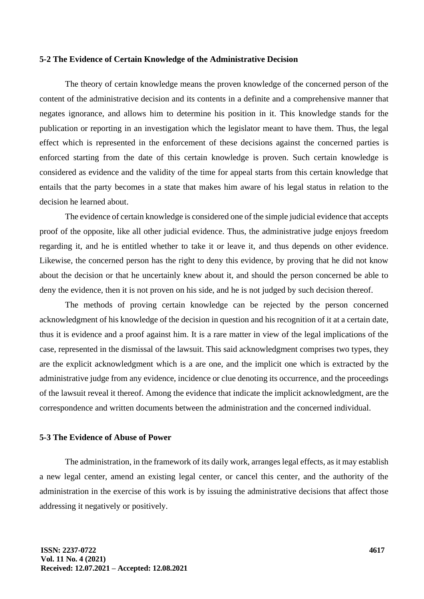#### **5-2 The Evidence of Certain Knowledge of the Administrative Decision**

The theory of certain knowledge means the proven knowledge of the concerned person of the content of the administrative decision and its contents in a definite and a comprehensive manner that negates ignorance, and allows him to determine his position in it. This knowledge stands for the publication or reporting in an investigation which the legislator meant to have them. Thus, the legal effect which is represented in the enforcement of these decisions against the concerned parties is enforced starting from the date of this certain knowledge is proven. Such certain knowledge is considered as evidence and the validity of the time for appeal starts from this certain knowledge that entails that the party becomes in a state that makes him aware of his legal status in relation to the decision he learned about.

The evidence of certain knowledge is considered one of the simple judicial evidence that accepts proof of the opposite, like all other judicial evidence. Thus, the administrative judge enjoys freedom regarding it, and he is entitled whether to take it or leave it, and thus depends on other evidence. Likewise, the concerned person has the right to deny this evidence, by proving that he did not know about the decision or that he uncertainly knew about it, and should the person concerned be able to deny the evidence, then it is not proven on his side, and he is not judged by such decision thereof.

The methods of proving certain knowledge can be rejected by the person concerned acknowledgment of his knowledge of the decision in question and his recognition of it at a certain date, thus it is evidence and a proof against him. It is a rare matter in view of the legal implications of the case, represented in the dismissal of the lawsuit. This said acknowledgment comprises two types, they are the explicit acknowledgment which is a are one, and the implicit one which is extracted by the administrative judge from any evidence, incidence or clue denoting its occurrence, and the proceedings of the lawsuit reveal it thereof. Among the evidence that indicate the implicit acknowledgment, are the correspondence and written documents between the administration and the concerned individual.

### **5-3 The Evidence of Abuse of Power**

The administration, in the framework of its daily work, arranges legal effects, as it may establish a new legal center, amend an existing legal center, or cancel this center, and the authority of the administration in the exercise of this work is by issuing the administrative decisions that affect those addressing it negatively or positively.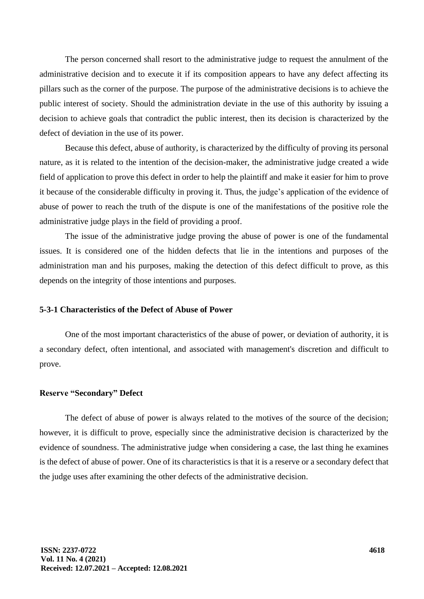The person concerned shall resort to the administrative judge to request the annulment of the administrative decision and to execute it if its composition appears to have any defect affecting its pillars such as the corner of the purpose. The purpose of the administrative decisions is to achieve the public interest of society. Should the administration deviate in the use of this authority by issuing a decision to achieve goals that contradict the public interest, then its decision is characterized by the defect of deviation in the use of its power.

Because this defect, abuse of authority, is characterized by the difficulty of proving its personal nature, as it is related to the intention of the decision-maker, the administrative judge created a wide field of application to prove this defect in order to help the plaintiff and make it easier for him to prove it because of the considerable difficulty in proving it. Thus, the judge's application of the evidence of abuse of power to reach the truth of the dispute is one of the manifestations of the positive role the administrative judge plays in the field of providing a proof.

The issue of the administrative judge proving the abuse of power is one of the fundamental issues. It is considered one of the hidden defects that lie in the intentions and purposes of the administration man and his purposes, making the detection of this defect difficult to prove, as this depends on the integrity of those intentions and purposes.

### **5-3-1 Characteristics of the Defect of Abuse of Power**

One of the most important characteristics of the abuse of power, or deviation of authority, it is a secondary defect, often intentional, and associated with management's discretion and difficult to prove.

## **Reserve "Secondary" Defect**

The defect of abuse of power is always related to the motives of the source of the decision; however, it is difficult to prove, especially since the administrative decision is characterized by the evidence of soundness. The administrative judge when considering a case, the last thing he examines is the defect of abuse of power. One of its characteristics is that it is a reserve or a secondary defect that the judge uses after examining the other defects of the administrative decision.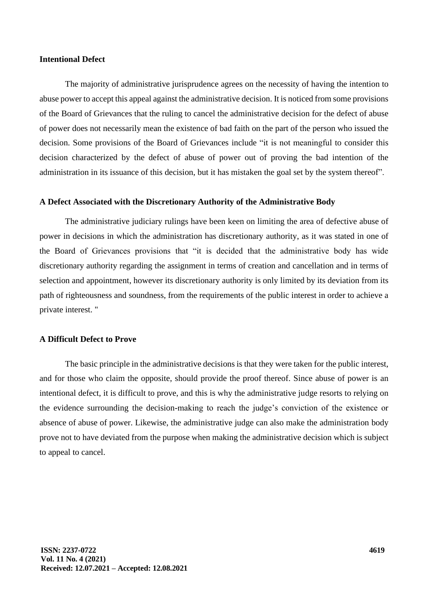### **Intentional Defect**

The majority of administrative jurisprudence agrees on the necessity of having the intention to abuse power to accept this appeal against the administrative decision. It is noticed from some provisions of the Board of Grievances that the ruling to cancel the administrative decision for the defect of abuse of power does not necessarily mean the existence of bad faith on the part of the person who issued the decision. Some provisions of the Board of Grievances include "it is not meaningful to consider this decision characterized by the defect of abuse of power out of proving the bad intention of the administration in its issuance of this decision, but it has mistaken the goal set by the system thereof".

#### **A Defect Associated with the Discretionary Authority of the Administrative Body**

The administrative judiciary rulings have been keen on limiting the area of defective abuse of power in decisions in which the administration has discretionary authority, as it was stated in one of the Board of Grievances provisions that "it is decided that the administrative body has wide discretionary authority regarding the assignment in terms of creation and cancellation and in terms of selection and appointment, however its discretionary authority is only limited by its deviation from its path of righteousness and soundness, from the requirements of the public interest in order to achieve a private interest. "

## **A Difficult Defect to Prove**

The basic principle in the administrative decisions is that they were taken for the public interest, and for those who claim the opposite, should provide the proof thereof. Since abuse of power is an intentional defect, it is difficult to prove, and this is why the administrative judge resorts to relying on the evidence surrounding the decision-making to reach the judge's conviction of the existence or absence of abuse of power. Likewise, the administrative judge can also make the administration body prove not to have deviated from the purpose when making the administrative decision which is subject to appeal to cancel.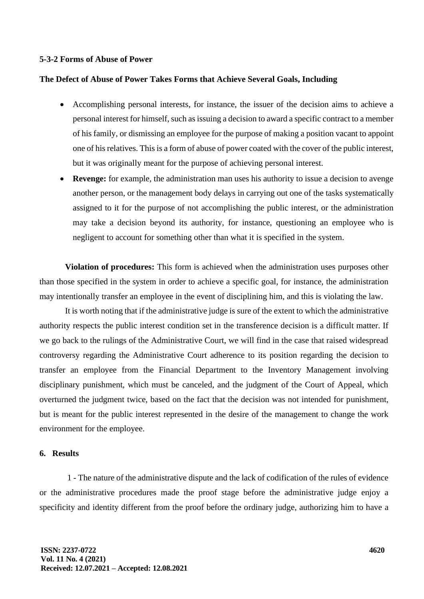#### **5-3-2 Forms of Abuse of Power**

#### **The Defect of Abuse of Power Takes Forms that Achieve Several Goals, Including**

- Accomplishing personal interests, for instance, the issuer of the decision aims to achieve a personal interest for himself, such as issuing a decision to award a specific contract to a member of his family, or dismissing an employee for the purpose of making a position vacant to appoint one of his relatives. This is a form of abuse of power coated with the cover of the public interest, but it was originally meant for the purpose of achieving personal interest.
- **Revenge:** for example, the administration man uses his authority to issue a decision to avenge another person, or the management body delays in carrying out one of the tasks systematically assigned to it for the purpose of not accomplishing the public interest, or the administration may take a decision beyond its authority, for instance, questioning an employee who is negligent to account for something other than what it is specified in the system.

**Violation of procedures:** This form is achieved when the administration uses purposes other than those specified in the system in order to achieve a specific goal, for instance, the administration may intentionally transfer an employee in the event of disciplining him, and this is violating the law.

It is worth noting that if the administrative judge is sure of the extent to which the administrative authority respects the public interest condition set in the transference decision is a difficult matter. If we go back to the rulings of the Administrative Court, we will find in the case that raised widespread controversy regarding the Administrative Court adherence to its position regarding the decision to transfer an employee from the Financial Department to the Inventory Management involving disciplinary punishment, which must be canceled, and the judgment of the Court of Appeal, which overturned the judgment twice, based on the fact that the decision was not intended for punishment, but is meant for the public interest represented in the desire of the management to change the work environment for the employee.

#### **6. Results**

1 - The nature of the administrative dispute and the lack of codification of the rules of evidence or the administrative procedures made the proof stage before the administrative judge enjoy a specificity and identity different from the proof before the ordinary judge, authorizing him to have a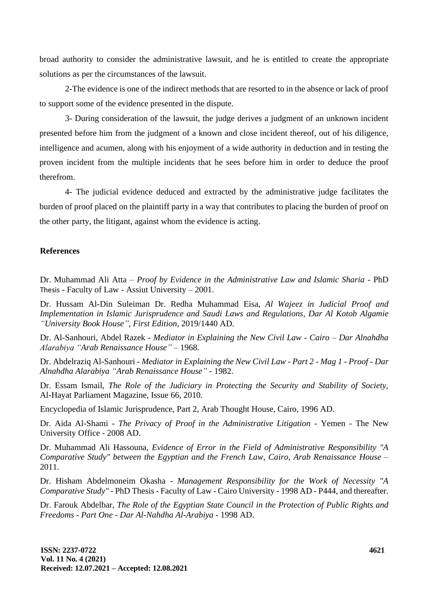broad authority to consider the administrative lawsuit, and he is entitled to create the appropriate solutions as per the circumstances of the lawsuit.

2-The evidence is one of the indirect methods that are resorted to in the absence or lack of proof to support some of the evidence presented in the dispute.

3- During consideration of the lawsuit, the judge derives a judgment of an unknown incident presented before him from the judgment of a known and close incident thereof, out of his diligence, intelligence and acumen, along with his enjoyment of a wide authority in deduction and in testing the proven incident from the multiple incidents that he sees before him in order to deduce the proof therefrom.

4- The judicial evidence deduced and extracted by the administrative judge facilitates the burden of proof placed on the plaintiff party in a way that contributes to placing the burden of proof on the other party, the litigant, against whom the evidence is acting.

## **References**

Dr. Muhammad Ali Atta – *Proof by Evidence in the Administrative Law and Islamic Sharia* - PhD Thesis - Faculty of Law - Assiut University – 2001.

Dr. Hussam Al-Din Suleiman Dr. Redha Muhammad Eisa, *Al Wajeez in Judicial Proof and Implementation in Islamic Jurisprudence and Saudi Laws and Regulations, Dar Al Kotob Algamie "University Book House", First Edition,* 2019/1440 AD.

Dr. Al-Sanhouri, Abdel Razek - *Mediator in Explaining the New Civil Law - Cairo – Dar Alnahdha Alarabiya "Arab Renaissance House"* – 1968.

Dr. Abdelraziq Al-Sanhouri - *Mediator in Explaining the New Civil Law - Part 2 - Mag 1 - Proof - Dar Alnahdha Alarabiya "Arab Renaissance House"* - 1982.

Dr. Essam Ismail, *The Role of the Judiciary in Protecting the Security and Stability of Society,* Al-Hayat Parliament Magazine, Issue 66, 2010.

Encyclopedia of Islamic Jurisprudence, Part 2, Arab Thought House, Cairo, 1996 AD.

Dr. Aida Al-Shami - *The Privacy of Proof in the Administrative Litigation* - Yemen - The New University Office - 2008 AD.

Dr. Muhammad Ali Hassouna, *Evidence of Error in the Field of Administrative Responsibility "A Comparative Study" between the Egyptian and the French Law, Cairo, Arab Renaissance House –* 2011.

Dr. Hisham Abdelmoneim Okasha - *Management Responsibility for the Work of Necessity "A Comparative Study"* - PhD Thesis - Faculty of Law - Cairo University - 1998 AD - P444, and thereafter.

Dr. Farouk Abdelbar, *The Role of the Egyptian State Council in the Protection of Public Rights and Freedoms - Part One - Dar Al-Nahdha Al-Arabiya -* 1998 AD.